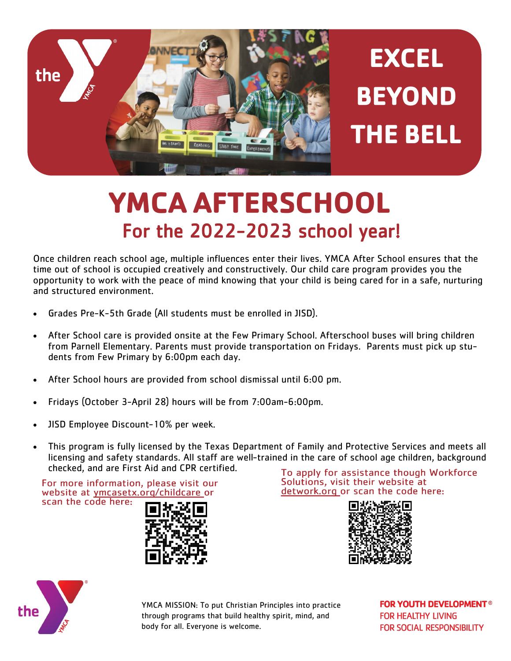

## **YMCA AFTERSCHOOL** For the 2022-2023 school year!

Once children reach school age, multiple influences enter their lives. YMCA After School ensures that the time out of school is occupied creatively and constructively. Our child care program provides you the opportunity to work with the peace of mind knowing that your child is being cared for in a safe, nurturing and structured environment.

- Grades Pre-K-5th Grade (All students must be enrolled in JISD).
- After School care is provided onsite at the Few Primary School. Afterschool buses will bring children from Parnell Elementary. Parents must provide transportation on Fridays. Parents must pick up students from Few Primary by 6:00pm each day.
- After School hours are provided from school dismissal until 6:00 pm.
- Fridays (October 3-April 28) hours will be from 7:00am-6:00pm.
- JISD Employee Discount-10% per week.
- This program is fully licensed by the Texas Department of Family and Protective Services and meets all licensing and safety standards. All staff are well-trained in the care of school age children, background checked, and are First Aid and CPR certified.

For more information, please visit our website at ymcasetx.org/childcare or scan the code here:



To apply for assistance though Workforce Solutions, visit their website at detwork.org or scan the code here:





YMCA MISSION: To put Christian Principles into practice through programs that build healthy spirit, mind, and body for all. Everyone is welcome.

**FOR YOUTH DEVELOPMENT® FOR HEALTHY LIVING FOR SOCIAL RESPONSIBILITY**